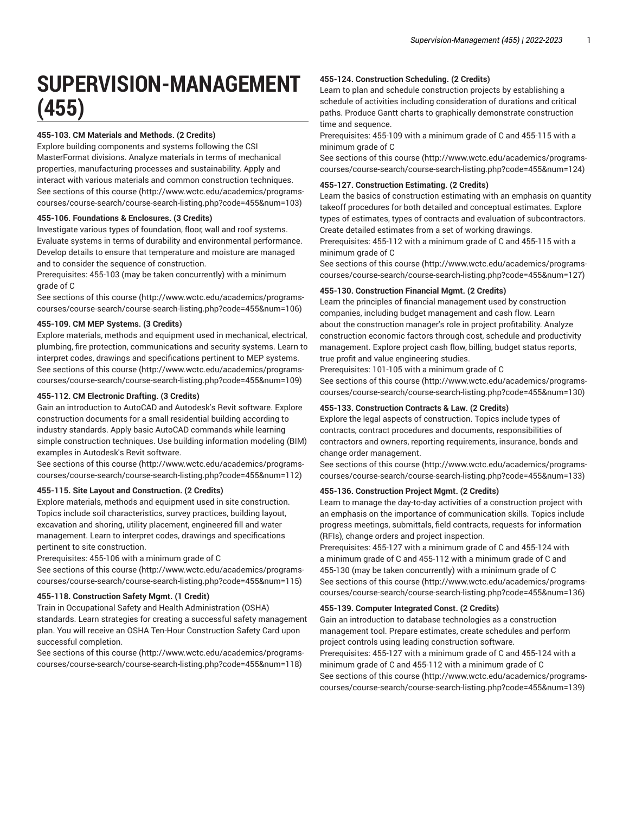# **SUPERVISION-MANAGEMENT (455)**

# **455-103. CM Materials and Methods. (2 Credits)**

Explore building components and systems following the CSI MasterFormat divisions. Analyze materials in terms of mechanical properties, manufacturing processes and sustainability. Apply and interact with various materials and common construction techniques. [See sections of this course](http://www.wctc.edu/academics/programs-courses/course-search/course-search-listing.php?code=455&num=103) ([http://www.wctc.edu/academics/programs](http://www.wctc.edu/academics/programs-courses/course-search/course-search-listing.php?code=455&num=103)[courses/course-search/course-search-listing.php?code=455&num=103](http://www.wctc.edu/academics/programs-courses/course-search/course-search-listing.php?code=455&num=103))

# **455-106. Foundations & Enclosures. (3 Credits)**

Investigate various types of foundation, floor, wall and roof systems. Evaluate systems in terms of durability and environmental performance. Develop details to ensure that temperature and moisture are managed and to consider the sequence of construction.

Prerequisites: 455-103 (may be taken concurrently) with a minimum grade of C

[See sections of this course](http://www.wctc.edu/academics/programs-courses/course-search/course-search-listing.php?code=455&num=106) ([http://www.wctc.edu/academics/programs](http://www.wctc.edu/academics/programs-courses/course-search/course-search-listing.php?code=455&num=106)[courses/course-search/course-search-listing.php?code=455&num=106](http://www.wctc.edu/academics/programs-courses/course-search/course-search-listing.php?code=455&num=106))

# **455-109. CM MEP Systems. (3 Credits)**

Explore materials, methods and equipment used in mechanical, electrical, plumbing, fire protection, communications and security systems. Learn to interpret codes, drawings and specifications pertinent to MEP systems. [See sections of this course](http://www.wctc.edu/academics/programs-courses/course-search/course-search-listing.php?code=455&num=109) ([http://www.wctc.edu/academics/programs](http://www.wctc.edu/academics/programs-courses/course-search/course-search-listing.php?code=455&num=109)[courses/course-search/course-search-listing.php?code=455&num=109](http://www.wctc.edu/academics/programs-courses/course-search/course-search-listing.php?code=455&num=109))

# **455-112. CM Electronic Drafting. (3 Credits)**

Gain an introduction to AutoCAD and Autodesk's Revit software. Explore construction documents for a small residential building according to industry standards. Apply basic AutoCAD commands while learning simple construction techniques. Use building information modeling (BIM) examples in Autodesk's Revit software.

[See sections of this course](http://www.wctc.edu/academics/programs-courses/course-search/course-search-listing.php?code=455&num=112) ([http://www.wctc.edu/academics/programs](http://www.wctc.edu/academics/programs-courses/course-search/course-search-listing.php?code=455&num=112)[courses/course-search/course-search-listing.php?code=455&num=112](http://www.wctc.edu/academics/programs-courses/course-search/course-search-listing.php?code=455&num=112))

## **455-115. Site Layout and Construction. (2 Credits)**

Explore materials, methods and equipment used in site construction. Topics include soil characteristics, survey practices, building layout, excavation and shoring, utility placement, engineered fill and water management. Learn to interpret codes, drawings and specifications pertinent to site construction.

Prerequisites: 455-106 with a minimum grade of C

[See sections of this course](http://www.wctc.edu/academics/programs-courses/course-search/course-search-listing.php?code=455&num=115) ([http://www.wctc.edu/academics/programs](http://www.wctc.edu/academics/programs-courses/course-search/course-search-listing.php?code=455&num=115)[courses/course-search/course-search-listing.php?code=455&num=115](http://www.wctc.edu/academics/programs-courses/course-search/course-search-listing.php?code=455&num=115))

## **455-118. Construction Safety Mgmt. (1 Credit)**

Train in Occupational Safety and Health Administration (OSHA)

standards. Learn strategies for creating a successful safety management plan. You will receive an OSHA Ten-Hour Construction Safety Card upon successful completion.

[See sections of this course](http://www.wctc.edu/academics/programs-courses/course-search/course-search-listing.php?code=455&num=118) ([http://www.wctc.edu/academics/programs](http://www.wctc.edu/academics/programs-courses/course-search/course-search-listing.php?code=455&num=118)[courses/course-search/course-search-listing.php?code=455&num=118](http://www.wctc.edu/academics/programs-courses/course-search/course-search-listing.php?code=455&num=118))

# **455-124. Construction Scheduling. (2 Credits)**

Learn to plan and schedule construction projects by establishing a schedule of activities including consideration of durations and critical paths. Produce Gantt charts to graphically demonstrate construction time and sequence.

Prerequisites: 455-109 with a minimum grade of C and 455-115 with a minimum grade of C

[See sections of this course \(http://www.wctc.edu/academics/programs](http://www.wctc.edu/academics/programs-courses/course-search/course-search-listing.php?code=455&num=124)[courses/course-search/course-search-listing.php?code=455&num=124\)](http://www.wctc.edu/academics/programs-courses/course-search/course-search-listing.php?code=455&num=124)

## **455-127. Construction Estimating. (2 Credits)**

Learn the basics of construction estimating with an emphasis on quantity takeoff procedures for both detailed and conceptual estimates. Explore types of estimates, types of contracts and evaluation of subcontractors. Create detailed estimates from a set of working drawings.

Prerequisites: 455-112 with a minimum grade of C and 455-115 with a minimum grade of C

[See sections of this course \(http://www.wctc.edu/academics/programs](http://www.wctc.edu/academics/programs-courses/course-search/course-search-listing.php?code=455&num=127)[courses/course-search/course-search-listing.php?code=455&num=127\)](http://www.wctc.edu/academics/programs-courses/course-search/course-search-listing.php?code=455&num=127)

# **455-130. Construction Financial Mgmt. (2 Credits)**

Learn the principles of financial management used by construction companies, including budget management and cash flow. Learn about the construction manager's role in project profitability. Analyze construction economic factors through cost, schedule and productivity management. Explore project cash flow, billing, budget status reports, true profit and value engineering studies.

Prerequisites: 101-105 with a minimum grade of C [See sections of this course \(http://www.wctc.edu/academics/programs](http://www.wctc.edu/academics/programs-courses/course-search/course-search-listing.php?code=455&num=130)[courses/course-search/course-search-listing.php?code=455&num=130\)](http://www.wctc.edu/academics/programs-courses/course-search/course-search-listing.php?code=455&num=130)

## **455-133. Construction Contracts & Law. (2 Credits)**

Explore the legal aspects of construction. Topics include types of contracts, contract procedures and documents, responsibilities of contractors and owners, reporting requirements, insurance, bonds and change order management.

[See sections of this course \(http://www.wctc.edu/academics/programs](http://www.wctc.edu/academics/programs-courses/course-search/course-search-listing.php?code=455&num=133)[courses/course-search/course-search-listing.php?code=455&num=133\)](http://www.wctc.edu/academics/programs-courses/course-search/course-search-listing.php?code=455&num=133)

## **455-136. Construction Project Mgmt. (2 Credits)**

Learn to manage the day-to-day activities of a construction project with an emphasis on the importance of communication skills. Topics include progress meetings, submittals, field contracts, requests for information (RFIs), change orders and project inspection.

Prerequisites: 455-127 with a minimum grade of C and 455-124 with a minimum grade of C and 455-112 with a minimum grade of C and 455-130 (may be taken concurrently) with a minimum grade of C [See sections of this course \(http://www.wctc.edu/academics/programs](http://www.wctc.edu/academics/programs-courses/course-search/course-search-listing.php?code=455&num=136)[courses/course-search/course-search-listing.php?code=455&num=136\)](http://www.wctc.edu/academics/programs-courses/course-search/course-search-listing.php?code=455&num=136)

## **455-139. Computer Integrated Const. (2 Credits)**

Gain an introduction to database technologies as a construction management tool. Prepare estimates, create schedules and perform project controls using leading construction software. Prerequisites: 455-127 with a minimum grade of C and 455-124 with a minimum grade of C and 455-112 with a minimum grade of C [See sections of this course \(http://www.wctc.edu/academics/programs](http://www.wctc.edu/academics/programs-courses/course-search/course-search-listing.php?code=455&num=139)[courses/course-search/course-search-listing.php?code=455&num=139\)](http://www.wctc.edu/academics/programs-courses/course-search/course-search-listing.php?code=455&num=139)